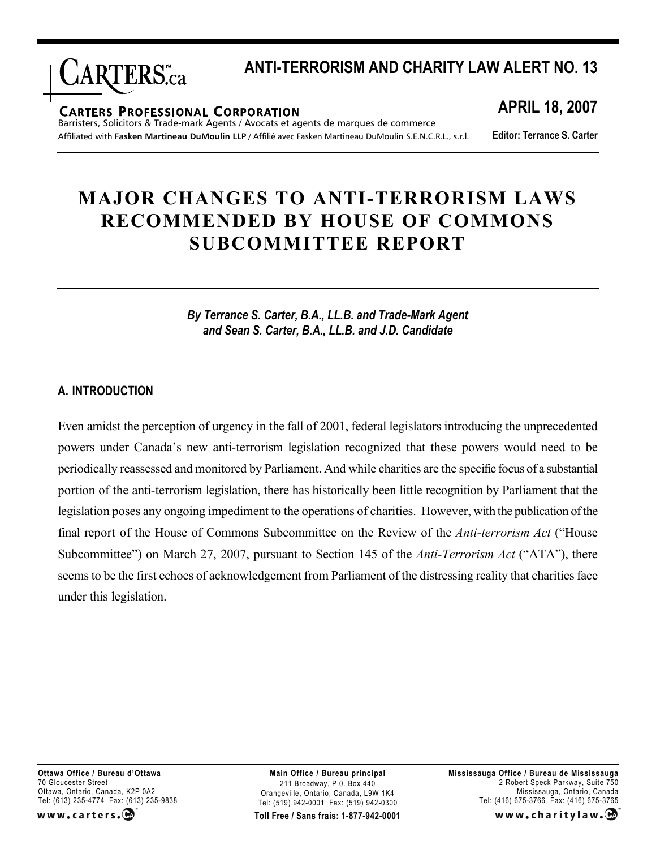

# **ANTI-TERRORISM AND CHARITY LAW ALERT NO. 13**

#### **CARTERS PROFESSIONAL CORPORATION**

Barristers, Solicitors & Trade-mark Agents / Avocats et agents de marques de commerce Affiliated with **Fasken Martineau DuMoulin LLP** / Affilié avec Fasken Martineau DuMoulin S.E.N.C.R.L., s.r.l. **APRIL 18, 2007**

**Editor: Terrance S. Carter**

# **MAJOR CHANGES TO ANTI-TERRORISM LAWS RECOMMENDED BY HOUSE OF COMMONS SUBCOMMITTEE REPORT**

*By Terrance S. Carter, B.A., LL.B. and Trade-Mark Agent and Sean S. Carter, B.A., LL.B. and J.D. Candidate*

#### **A. INTRODUCTION**

Even amidst the perception of urgency in the fall of 2001, federal legislators introducing the unprecedented powers under Canada's new anti-terrorism legislation recognized that these powers would need to be periodically reassessed and monitored by Parliament. And while charities are the specific focus of a substantial portion of the anti-terrorism legislation, there has historically been little recognition by Parliament that the legislation poses any ongoing impediment to the operations of charities. However, with the publication of the final report of the House of Commons Subcommittee on the Review of the *Anti-terrorism Act* ("House Subcommittee") on March 27, 2007, pursuant to Section 145 of the *Anti-Terrorism Act* ("ATA"), there seems to be the first echoes of acknowledgement from Parliament of the distressing reality that charities face under this legislation.

**Ottawa Office / Bureau d'Ottawa** 70 Gloucester Street Ottawa, Ontario, Canada, K2P 0A2 Tel: (613) 235-4774 Fax: (613) 235-9838

www.carters.C

**Toll Free / Sans frais: 1-877-942-0001 Main Office / Bureau principal** 211 Broadway, P.0. Box 440 Orangeville, Ontario, Canada, L9W 1K4 Tel: (519) 942-0001 Fax: (519) 942-0300

**Mississauga Office / Bureau de Mississauga** 2 Robert Speck Parkway, Suite 750 Mississauga, Ontario, Canada Tel: (416) 675-3766 Fax: (416) 675-3765

www.charitylaw.CA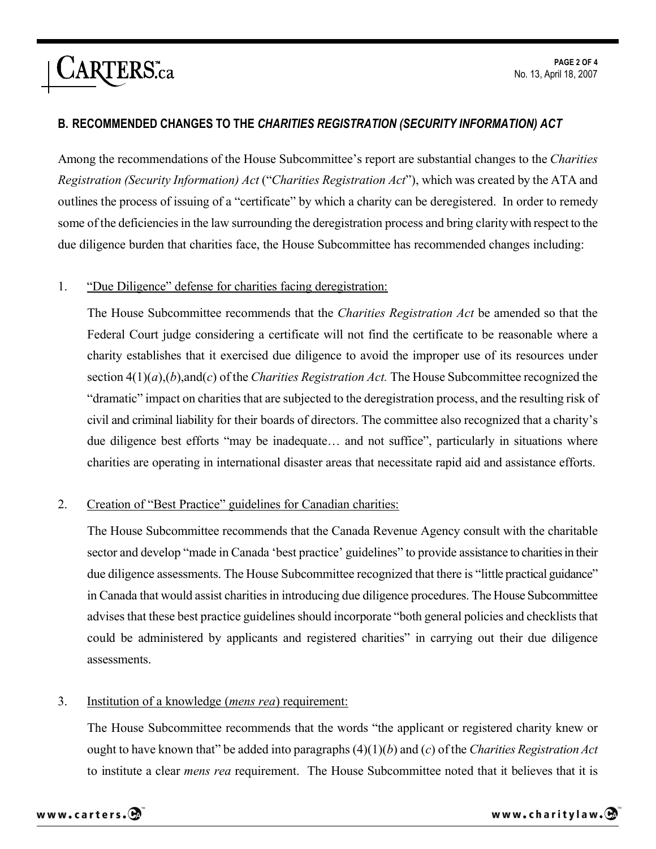## **B. RECOMMENDED CHANGES TO THE** *CHARITIES REGISTRATION (SECURITY INFORMATION) ACT*

Among the recommendations of the House Subcommittee's report are substantial changes to the *Charities Registration (Security Information) Act* ("*Charities Registration Act*"), which was created by the ATA and outlines the process of issuing of a "certificate" by which a charity can be deregistered. In order to remedy some of the deficiencies in the law surrounding the deregistration process and bring claritywith respect to the due diligence burden that charities face, the House Subcommittee has recommended changes including:

### 1. "Due Diligence" defense for charities facing deregistration:

The House Subcommittee recommends that the *Charities Registration Act* be amended so that the Federal Court judge considering a certificate will not find the certificate to be reasonable where a charity establishes that it exercised due diligence to avoid the improper use of its resources under section 4(1)(*a*),(*b*),and(*c*) of the *Charities Registration Act.* The House Subcommittee recognized the "dramatic" impact on charities that are subjected to the deregistration process, and the resulting risk of civil and criminal liability for their boards of directors. The committee also recognized that a charity's due diligence best efforts "may be inadequate… and not suffice", particularly in situations where charities are operating in international disaster areas that necessitate rapid aid and assistance efforts.

### 2. Creation of "Best Practice" guidelines for Canadian charities:

The House Subcommittee recommends that the Canada Revenue Agency consult with the charitable sector and develop "made in Canada 'best practice' guidelines" to provide assistance to charities in their due diligence assessments. The House Subcommittee recognized that there is "little practical guidance" in Canada that would assist charities in introducing due diligence procedures. The House Subcommittee advises that these best practice guidelines should incorporate "both general policies and checklists that could be administered by applicants and registered charities" in carrying out their due diligence assessments.

### 3. Institution of a knowledge (*mens rea*) requirement:

The House Subcommittee recommends that the words "the applicant or registered charity knew or ought to have known that" be added into paragraphs (4)(1)(*b*) and (*c*) of the *Charities Registration Act*  to institute a clear *mens rea* requirement. The House Subcommittee noted that it believes that it is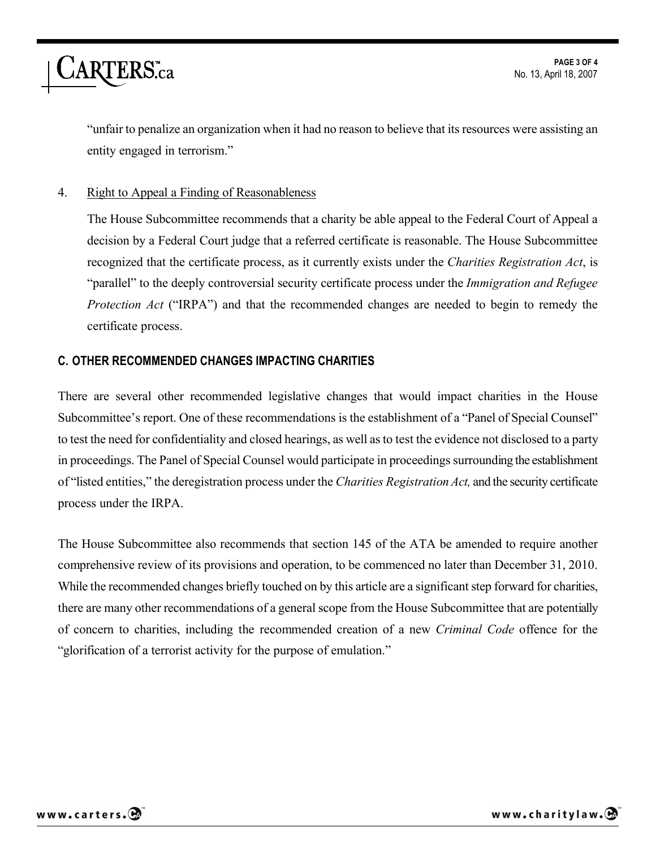"unfair to penalize an organization when it had no reason to believe that its resources were assisting an entity engaged in terrorism."

#### 4. Right to Appeal a Finding of Reasonableness

The House Subcommittee recommends that a charity be able appeal to the Federal Court of Appeal a decision by a Federal Court judge that a referred certificate is reasonable. The House Subcommittee recognized that the certificate process, as it currently exists under the *Charities Registration Act*, is "parallel" to the deeply controversial security certificate process under the *Immigration and Refugee Protection Act* ("IRPA") and that the recommended changes are needed to begin to remedy the certificate process.

### **C. OTHER RECOMMENDED CHANGES IMPACTING CHARITIES**

There are several other recommended legislative changes that would impact charities in the House Subcommittee's report. One of these recommendations is the establishment of a "Panel of Special Counsel" to test the need for confidentiality and closed hearings, as well as to test the evidence not disclosed to a party in proceedings. The Panel of Special Counsel would participate in proceedings surrounding the establishment of "listed entities," the deregistration process under the *Charities Registration Act,* and the security certificate process under the IRPA.

The House Subcommittee also recommends that section 145 of the ATA be amended to require another comprehensive review of its provisions and operation, to be commenced no later than December 31, 2010. While the recommended changes briefly touched on by this article are a significant step forward for charities, there are many other recommendations of a general scope from the House Subcommittee that are potentially of concern to charities, including the recommended creation of a new *Criminal Code* offence for the "glorification of a terrorist activity for the purpose of emulation."